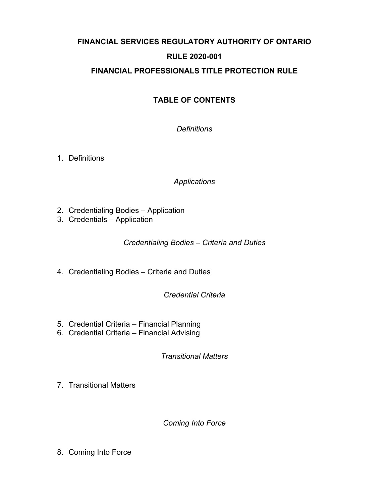# **FINANCIAL SERVICES REGULATORY AUTHORITY OF ONTARIO RULE 2020-001 FINANCIAL PROFESSIONALS TITLE PROTECTION RULE**

# **TABLE OF CONTENTS**

*[Definitions](#page-1-0)*

1. [Definitions](#page-1-1)

*[Applications](#page-1-2)*

- 2. [Credentialing Bodies Application](#page-1-3)
- 3. [Credentials Application](#page-1-4)

*[Credentialing Bodies – Criteria and Duties](#page-1-5)*

4. [Credentialing Bodies – Criteria and Duties](#page-2-0)

*[Credential Criteria](#page-3-0)*

- 5. [Credential Criteria Financial Planning](#page-3-1)
- 6. [Credential Criteria Financial Advising](#page-4-0)

*[Transitional Matters](#page-5-0)*

7. [Transitional Matters](#page-5-1)

*[Coming Into Force](#page-6-0)*

8. [Coming Into Force](#page-6-1)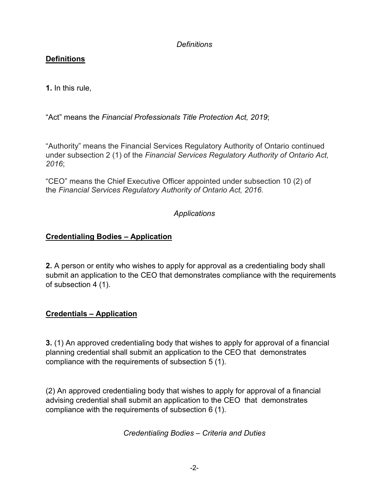#### <span id="page-1-0"></span>*Definitions*

#### <span id="page-1-1"></span>**Definitions**

**1.** In this rule,

"Act" means the *Financial Professionals Title Protection Act, 2019*;

"Authority" means the Financial Services Regulatory Authority of Ontario continued under subsection 2 (1) of the *Financial Services Regulatory Authority of Ontario Act, 2016*;

"CEO" means the Chief Executive Officer appointed under subsection 10 (2) of the *Financial Services Regulatory Authority of Ontario Act, 2016*.

#### <span id="page-1-2"></span>*Applications*

#### <span id="page-1-3"></span>**Credentialing Bodies – Application**

**2.** A person or entity who wishes to apply for approval as a credentialing body shall submit an application to the CEO that demonstrates compliance with the requirements of subsection 4 (1).

# <span id="page-1-4"></span>**Credentials – Application**

**3.** (1) An approved credentialing body that wishes to apply for approval of a financial planning credential shall submit an application to the CEO that demonstrates compliance with the requirements of subsection 5 (1).

(2) An approved credentialing body that wishes to apply for approval of a financial advising credential shall submit an application to the CEO that demonstrates compliance with the requirements of subsection 6 (1).

<span id="page-1-5"></span>*Credentialing Bodies – Criteria and Duties*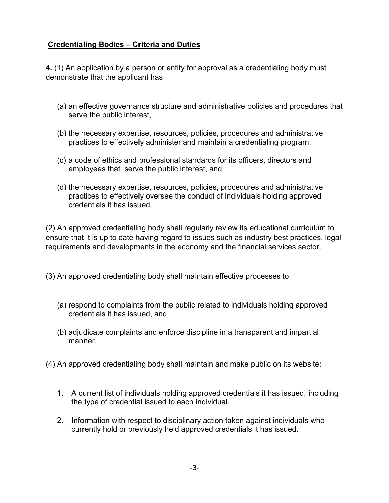#### <span id="page-2-0"></span>**Credentialing Bodies – Criteria and Duties**

**4.** (1) An application by a person or entity for approval as a credentialing body must demonstrate that the applicant has

- (a) an effective governance structure and administrative policies and procedures that serve the public interest,
- (b) the necessary expertise, resources, policies, procedures and administrative practices to effectively administer and maintain a credentialing program,
- (c) a code of ethics and professional standards for its officers, directors and employees that serve the public interest, and
- (d) the necessary expertise, resources, policies, procedures and administrative practices to effectively oversee the conduct of individuals holding approved credentials it has issued.

(2) An approved credentialing body shall regularly review its educational curriculum to ensure that it is up to date having regard to issues such as industry best practices, legal requirements and developments in the economy and the financial services sector.

(3) An approved credentialing body shall maintain effective processes to

- (a) respond to complaints from the public related to individuals holding approved credentials it has issued, and
- (b) adjudicate complaints and enforce discipline in a transparent and impartial manner.
- (4) An approved credentialing body shall maintain and make public on its website:
	- 1. A current list of individuals holding approved credentials it has issued, including the type of credential issued to each individual.
	- 2. Information with respect to disciplinary action taken against individuals who currently hold or previously held approved credentials it has issued.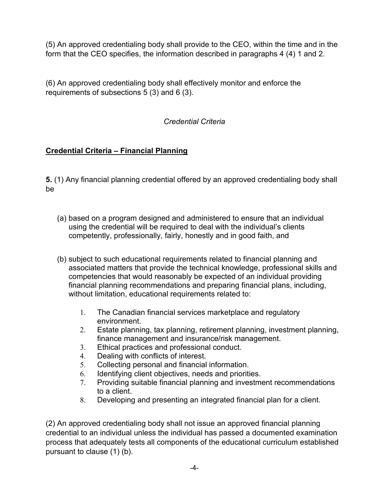(5) An approved credentialing body shall provide to the CEO, within the time and in the form that the CEO specifies, the information described in paragraphs 4 (4) 1 and 2.

(6) An approved credentialing body shall effectively monitor and enforce the requirements of subsections 5 (3) and 6 (3).

# <span id="page-3-0"></span>*Credential Criteria*

# <span id="page-3-1"></span>**Credential Criteria – Financial Planning**

**5.** (1) Any financial planning credential offered by an approved credentialing body shall be

- (a) based on a program designed and administered to ensure that an individual using the credential will be required to deal with the individual's clients competently, professionally, fairly, honestly and in good faith, and
- (b) subject to such educational requirements related to financial planning and associated matters that provide the technical knowledge, professional skills and competencies that would reasonably be expected of an individual providing financial planning recommendations and preparing financial plans, including, without limitation, educational requirements related to:
	- 1. The Canadian financial services marketplace and regulatory environment.
	- 2. Estate planning, tax planning, retirement planning, investment planning, finance management and insurance/risk management.
	- 3. Ethical practices and professional conduct.
	- 4. Dealing with conflicts of interest.
	- 5. Collecting personal and financial information.
	- 6. Identifying client objectives, needs and priorities.
	- 7. Providing suitable financial planning and investment recommendations to a client.
	- 8. Developing and presenting an integrated financial plan for a client.

(2) An approved credentialing body shall not issue an approved financial planning credential to an individual unless the individual has passed a documented examination process that adequately tests all components of the educational curriculum established pursuant to clause (1) (b).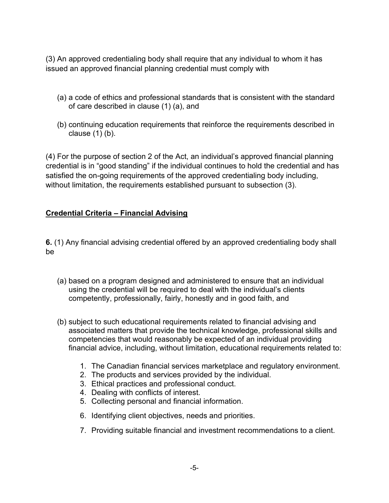(3) An approved credentialing body shall require that any individual to whom it has issued an approved financial planning credential must comply with

- (a) a code of ethics and professional standards that is consistent with the standard of care described in clause (1) (a), and
- (b) continuing education requirements that reinforce the requirements described in clause (1) (b).

(4) For the purpose of section 2 of the Act, an individual's approved financial planning credential is in "good standing" if the individual continues to hold the credential and has satisfied the on-going requirements of the approved credentialing body including, without limitation, the requirements established pursuant to subsection (3).

#### <span id="page-4-0"></span>**Credential Criteria – Financial Advising**

**6.** (1) Any financial advising credential offered by an approved credentialing body shall be

- (a) based on a program designed and administered to ensure that an individual using the credential will be required to deal with the individual's clients competently, professionally, fairly, honestly and in good faith, and
- (b) subject to such educational requirements related to financial advising and associated matters that provide the technical knowledge, professional skills and competencies that would reasonably be expected of an individual providing financial advice, including, without limitation, educational requirements related to:
	- 1. The Canadian financial services marketplace and regulatory environment.
	- 2. The products and services provided by the individual.
	- 3. Ethical practices and professional conduct.
	- 4. Dealing with conflicts of interest.
	- 5. Collecting personal and financial information.
	- 6. Identifying client objectives, needs and priorities.
	- 7. Providing suitable financial and investment recommendations to a client.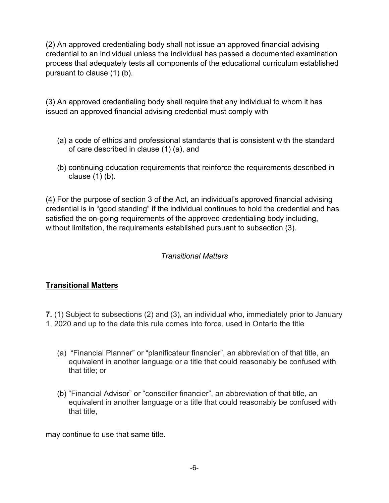(2) An approved credentialing body shall not issue an approved financial advising credential to an individual unless the individual has passed a documented examination process that adequately tests all components of the educational curriculum established pursuant to clause (1) (b).

(3) An approved credentialing body shall require that any individual to whom it has issued an approved financial advising credential must comply with

- (a) a code of ethics and professional standards that is consistent with the standard of care described in clause (1) (a), and
- (b) continuing education requirements that reinforce the requirements described in clause (1) (b).

(4) For the purpose of section 3 of the Act, an individual's approved financial advising credential is in "good standing" if the individual continues to hold the credential and has satisfied the on-going requirements of the approved credentialing body including, without limitation, the requirements established pursuant to subsection (3).

#### <span id="page-5-0"></span>*Transitional Matters*

# <span id="page-5-1"></span>**Transitional Matters**

- **7.** (1) Subject to subsections (2) and (3), an individual who, immediately prior to January
- 1, 2020 and up to the date this rule comes into force, used in Ontario the title
	- (a) "Financial Planner" or "planificateur financier", an abbreviation of that title, an equivalent in another language or a title that could reasonably be confused with that title; or
	- (b) "Financial Advisor" or "conseiller financier", an abbreviation of that title, an equivalent in another language or a title that could reasonably be confused with that title,

may continue to use that same title.